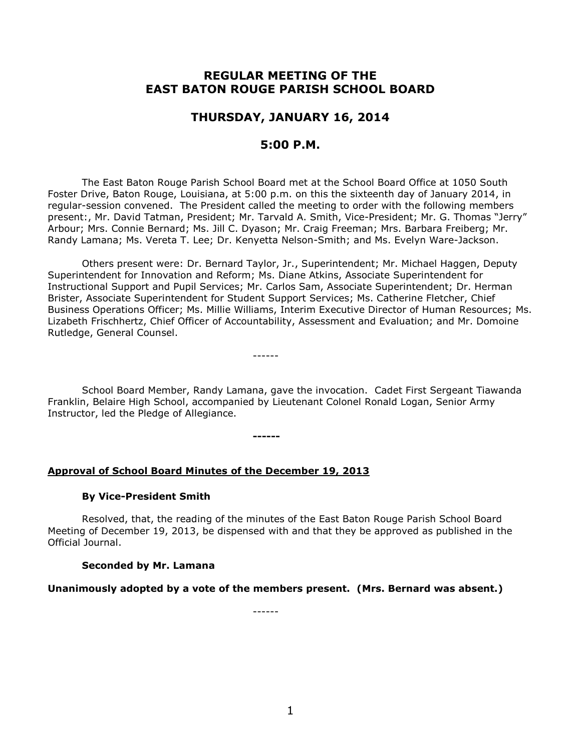# **REGULAR MEETING OF THE EAST BATON ROUGE PARISH SCHOOL BOARD**

# **THURSDAY, JANUARY 16, 2014**

# **5:00 P.M.**

The East Baton Rouge Parish School Board met at the School Board Office at 1050 South Foster Drive, Baton Rouge, Louisiana, at 5:00 p.m. on this the sixteenth day of January 2014, in regular-session convened. The President called the meeting to order with the following members present:, Mr. David Tatman, President; Mr. Tarvald A. Smith, Vice-President; Mr. G. Thomas "Jerry" Arbour; Mrs. Connie Bernard; Ms. Jill C. Dyason; Mr. Craig Freeman; Mrs. Barbara Freiberg; Mr. Randy Lamana; Ms. Vereta T. Lee; Dr. Kenyetta Nelson-Smith; and Ms. Evelyn Ware-Jackson.

Others present were: Dr. Bernard Taylor, Jr., Superintendent; Mr. Michael Haggen, Deputy Superintendent for Innovation and Reform; Ms. Diane Atkins, Associate Superintendent for Instructional Support and Pupil Services; Mr. Carlos Sam, Associate Superintendent; Dr. Herman Brister, Associate Superintendent for Student Support Services; Ms. Catherine Fletcher, Chief Business Operations Officer; Ms. Millie Williams, Interim Executive Director of Human Resources; Ms. Lizabeth Frischhertz, Chief Officer of Accountability, Assessment and Evaluation; and Mr. Domoine Rutledge, General Counsel.

------

**------**

School Board Member, Randy Lamana, gave the invocation. Cadet First Sergeant Tiawanda Franklin, Belaire High School, accompanied by Lieutenant Colonel Ronald Logan, Senior Army Instructor, led the Pledge of Allegiance.

**Approval of School Board Minutes of the December 19, 2013**

#### **By Vice-President Smith**

Resolved, that, the reading of the minutes of the East Baton Rouge Parish School Board Meeting of December 19, 2013, be dispensed with and that they be approved as published in the Official Journal.

#### **Seconded by Mr. Lamana**

**Unanimously adopted by a vote of the members present. (Mrs. Bernard was absent.)**

------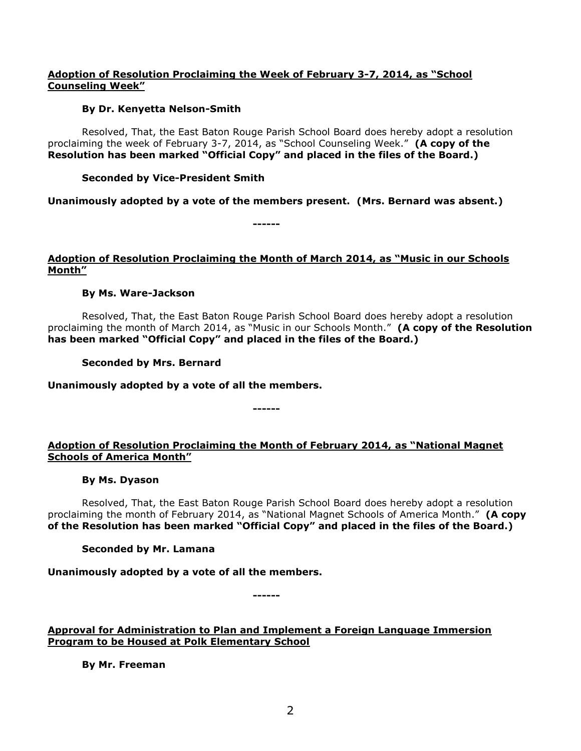# **Adoption of Resolution Proclaiming the Week of February 3-7, 2014, as "School Counseling Week"**

# **By Dr. Kenyetta Nelson-Smith**

Resolved, That, the East Baton Rouge Parish School Board does hereby adopt a resolution proclaiming the week of February 3-7, 2014, as "School Counseling Week." **(A copy of the Resolution has been marked "Official Copy" and placed in the files of the Board.)**

# **Seconded by Vice-President Smith**

**Unanimously adopted by a vote of the members present. (Mrs. Bernard was absent.)**

**------**

# **Adoption of Resolution Proclaiming the Month of March 2014, as "Music in our Schools Month"**

# **By Ms. Ware-Jackson**

Resolved, That, the East Baton Rouge Parish School Board does hereby adopt a resolution proclaiming the month of March 2014, as "Music in our Schools Month." **(A copy of the Resolution has been marked "Official Copy" and placed in the files of the Board.)**

**Seconded by Mrs. Bernard**

**Unanimously adopted by a vote of all the members.**

# **Adoption of Resolution Proclaiming the Month of February 2014, as "National Magnet Schools of America Month"**

**------**

## **By Ms. Dyason**

Resolved, That, the East Baton Rouge Parish School Board does hereby adopt a resolution proclaiming the month of February 2014, as "National Magnet Schools of America Month." **(A copy of the Resolution has been marked "Official Copy" and placed in the files of the Board.)**

## **Seconded by Mr. Lamana**

**Unanimously adopted by a vote of all the members.**

**------**

**Approval for Administration to Plan and Implement a Foreign Language Immersion Program to be Housed at Polk Elementary School**

**By Mr. Freeman**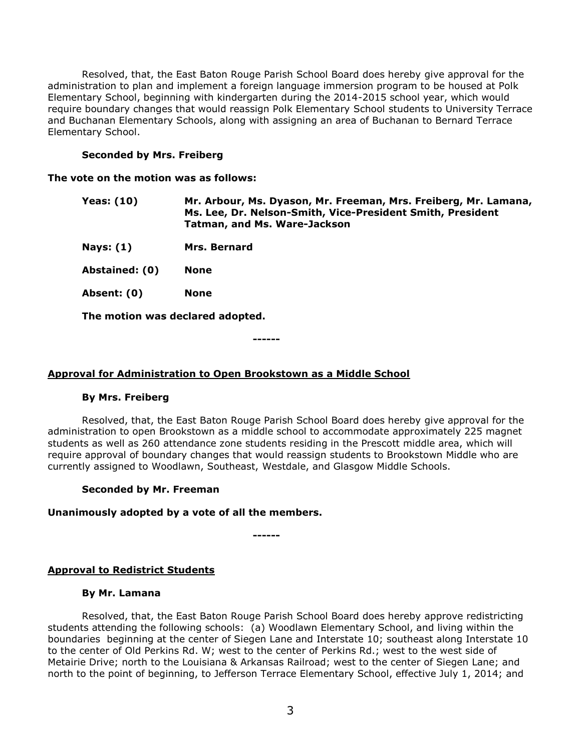Resolved, that, the East Baton Rouge Parish School Board does hereby give approval for the administration to plan and implement a foreign language immersion program to be housed at Polk Elementary School, beginning with kindergarten during the 2014-2015 school year, which would require boundary changes that would reassign Polk Elementary School students to University Terrace and Buchanan Elementary Schools, along with assigning an area of Buchanan to Bernard Terrace Elementary School.

## **Seconded by Mrs. Freiberg**

**The vote on the motion was as follows:**

| Yeas: (10) | Mr. Arbour, Ms. Dyason, Mr. Freeman, Mrs. Freiberg, Mr. Lamana, |
|------------|-----------------------------------------------------------------|
|            | Ms. Lee, Dr. Nelson-Smith, Vice-President Smith, President      |
|            | Tatman, and Ms. Ware-Jackson                                    |

**Nays: (1) Mrs. Bernard**

**Abstained: (0) None**

**Absent: (0) None**

**The motion was declared adopted.**

**------**

## **Approval for Administration to Open Brookstown as a Middle School**

#### **By Mrs. Freiberg**

Resolved, that, the East Baton Rouge Parish School Board does hereby give approval for the administration to open Brookstown as a middle school to accommodate approximately 225 magnet students as well as 260 attendance zone students residing in the Prescott middle area, which will require approval of boundary changes that would reassign students to Brookstown Middle who are currently assigned to Woodlawn, Southeast, Westdale, and Glasgow Middle Schools.

#### **Seconded by Mr. Freeman**

## **Unanimously adopted by a vote of all the members.**

**------**

## **Approval to Redistrict Students**

#### **By Mr. Lamana**

Resolved, that, the East Baton Rouge Parish School Board does hereby approve redistricting students attending the following schools: (a) Woodlawn Elementary School, and living within the boundaries beginning at the center of Siegen Lane and Interstate 10; southeast along Interstate 10 to the center of Old Perkins Rd. W; west to the center of Perkins Rd.; west to the west side of Metairie Drive; north to the Louisiana & Arkansas Railroad; west to the center of Siegen Lane; and north to the point of beginning, to Jefferson Terrace Elementary School, effective July 1, 2014; and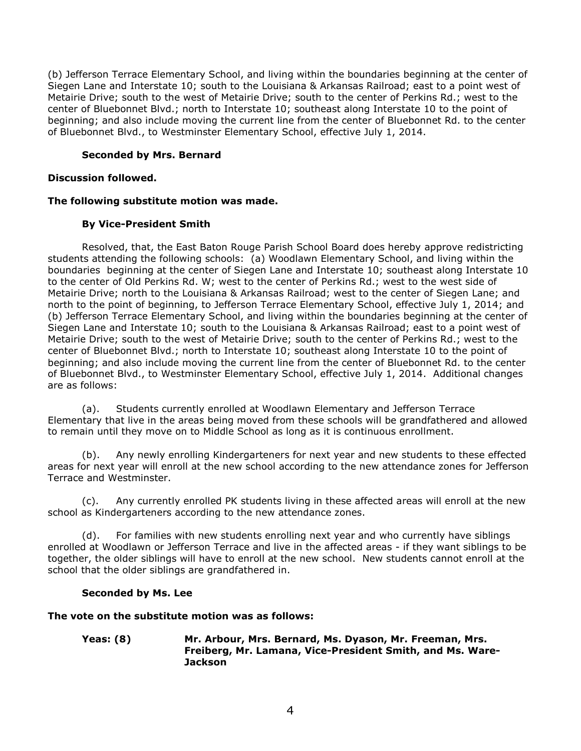(b) Jefferson Terrace Elementary School, and living within the boundaries beginning at the center of Siegen Lane and Interstate 10; south to the Louisiana & Arkansas Railroad; east to a point west of Metairie Drive; south to the west of Metairie Drive; south to the center of Perkins Rd.; west to the center of Bluebonnet Blvd.; north to Interstate 10; southeast along Interstate 10 to the point of beginning; and also include moving the current line from the center of Bluebonnet Rd. to the center of Bluebonnet Blvd., to Westminster Elementary School, effective July 1, 2014.

## **Seconded by Mrs. Bernard**

## **Discussion followed.**

## **The following substitute motion was made.**

# **By Vice-President Smith**

Resolved, that, the East Baton Rouge Parish School Board does hereby approve redistricting students attending the following schools: (a) Woodlawn Elementary School, and living within the boundaries beginning at the center of Siegen Lane and Interstate 10; southeast along Interstate 10 to the center of Old Perkins Rd. W; west to the center of Perkins Rd.; west to the west side of Metairie Drive; north to the Louisiana & Arkansas Railroad; west to the center of Siegen Lane; and north to the point of beginning, to Jefferson Terrace Elementary School, effective July 1, 2014; and (b) Jefferson Terrace Elementary School, and living within the boundaries beginning at the center of Siegen Lane and Interstate 10; south to the Louisiana & Arkansas Railroad; east to a point west of Metairie Drive; south to the west of Metairie Drive; south to the center of Perkins Rd.; west to the center of Bluebonnet Blvd.; north to Interstate 10; southeast along Interstate 10 to the point of beginning; and also include moving the current line from the center of Bluebonnet Rd. to the center of Bluebonnet Blvd., to Westminster Elementary School, effective July 1, 2014. Additional changes are as follows:

(a). Students currently enrolled at Woodlawn Elementary and Jefferson Terrace Elementary that live in the areas being moved from these schools will be grandfathered and allowed to remain until they move on to Middle School as long as it is continuous enrollment.

(b). Any newly enrolling Kindergarteners for next year and new students to these effected areas for next year will enroll at the new school according to the new attendance zones for Jefferson Terrace and Westminster.

(c). Any currently enrolled PK students living in these affected areas will enroll at the new school as Kindergarteners according to the new attendance zones.

(d). For families with new students enrolling next year and who currently have siblings enrolled at Woodlawn or Jefferson Terrace and live in the affected areas - if they want siblings to be together, the older siblings will have to enroll at the new school. New students cannot enroll at the school that the older siblings are grandfathered in.

## **Seconded by Ms. Lee**

## **The vote on the substitute motion was as follows:**

**Yeas: (8) Mr. Arbour, Mrs. Bernard, Ms. Dyason, Mr. Freeman, Mrs. Freiberg, Mr. Lamana, Vice-President Smith, and Ms. Ware-Jackson**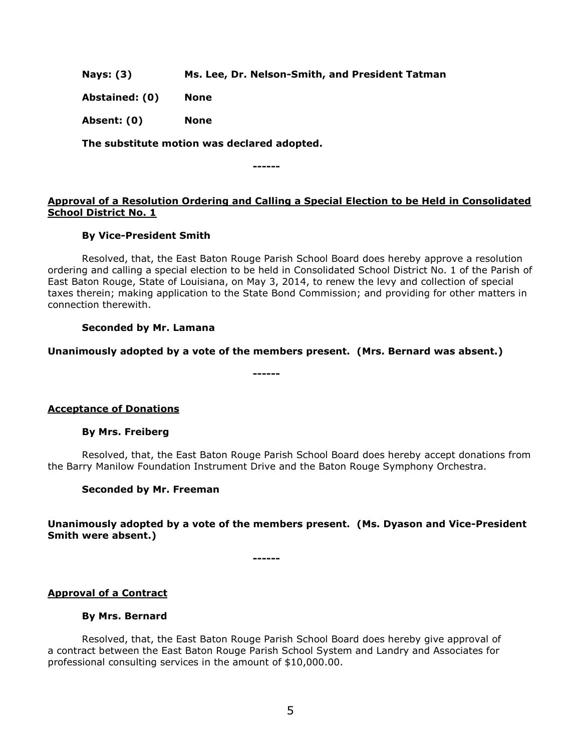**Nays: (3) Ms. Lee, Dr. Nelson-Smith, and President Tatman**

**Abstained: (0) None**

**Absent: (0) None**

**The substitute motion was declared adopted.**

**------**

# **Approval of a Resolution Ordering and Calling a Special Election to be Held in Consolidated School District No. 1**

## **By Vice-President Smith**

Resolved, that, the East Baton Rouge Parish School Board does hereby approve a resolution ordering and calling a special election to be held in Consolidated School District No. 1 of the Parish of East Baton Rouge, State of Louisiana, on May 3, 2014, to renew the levy and collection of special taxes therein; making application to the State Bond Commission; and providing for other matters in connection therewith.

## **Seconded by Mr. Lamana**

**Unanimously adopted by a vote of the members present. (Mrs. Bernard was absent.)**

**------**

**Acceptance of Donations**

## **By Mrs. Freiberg**

Resolved, that, the East Baton Rouge Parish School Board does hereby accept donations from the Barry Manilow Foundation Instrument Drive and the Baton Rouge Symphony Orchestra.

## **Seconded by Mr. Freeman**

## **Unanimously adopted by a vote of the members present. (Ms. Dyason and Vice-President Smith were absent.)**

**------**

## **Approval of a Contract**

## **By Mrs. Bernard**

Resolved, that, the East Baton Rouge Parish School Board does hereby give approval of a contract between the East Baton Rouge Parish School System and Landry and Associates for professional consulting services in the amount of \$10,000.00.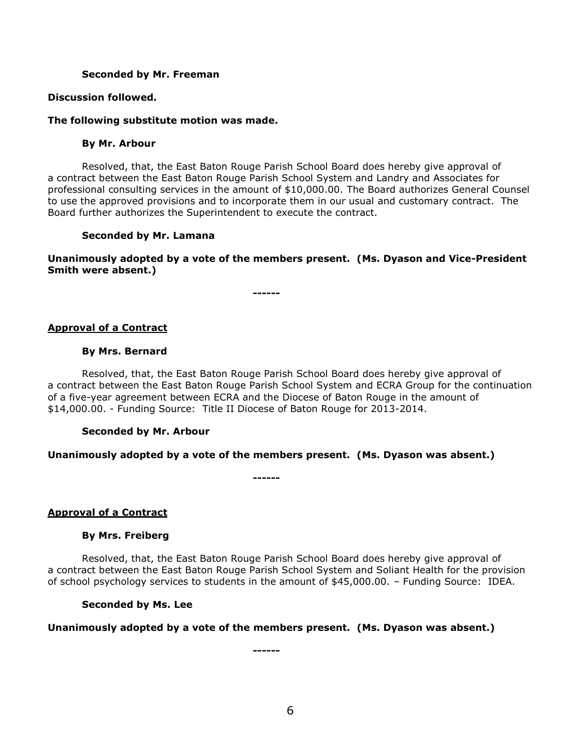#### **Seconded by Mr. Freeman**

#### **Discussion followed.**

#### **The following substitute motion was made.**

#### **By Mr. Arbour**

Resolved, that, the East Baton Rouge Parish School Board does hereby give approval of a contract between the East Baton Rouge Parish School System and Landry and Associates for professional consulting services in the amount of \$10,000.00. The Board authorizes General Counsel to use the approved provisions and to incorporate them in our usual and customary contract. The Board further authorizes the Superintendent to execute the contract.

#### **Seconded by Mr. Lamana**

**Unanimously adopted by a vote of the members present. (Ms. Dyason and Vice-President Smith were absent.)**

**------**

#### **Approval of a Contract**

#### **By Mrs. Bernard**

Resolved, that, the East Baton Rouge Parish School Board does hereby give approval of a contract between the East Baton Rouge Parish School System and ECRA Group for the continuation of a five-year agreement between ECRA and the Diocese of Baton Rouge in the amount of \$14,000.00. - Funding Source: Title II Diocese of Baton Rouge for 2013-2014.

#### **Seconded by Mr. Arbour**

## **Unanimously adopted by a vote of the members present. (Ms. Dyason was absent.)**

**------**

## **Approval of a Contract**

## **By Mrs. Freiberg**

Resolved, that, the East Baton Rouge Parish School Board does hereby give approval of a contract between the East Baton Rouge Parish School System and Soliant Health for the provision of school psychology services to students in the amount of \$45,000.00. – Funding Source: IDEA.

# **Seconded by Ms. Lee**

## **Unanimously adopted by a vote of the members present. (Ms. Dyason was absent.)**

**------**